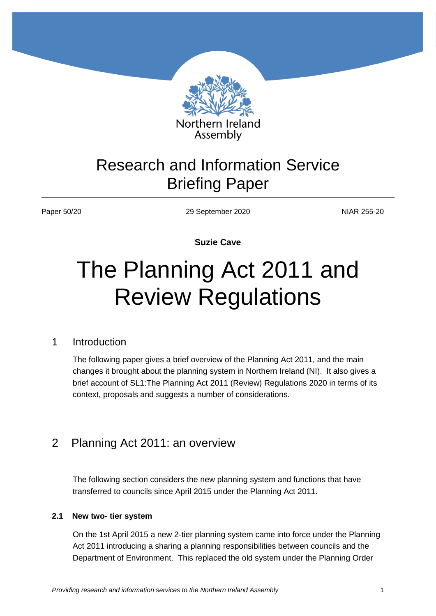

## Research and Information Service Briefing Paper

Paper 50/20 29 September 2020 NIAR 255-20

**Suzie Cave**

# The Planning Act 2011 and Review Regulations

#### 1 Introduction

The following paper gives a brief overview of the Planning Act 2011, and the main changes it brought about the planning system in Northern Ireland (NI). It also gives a brief account of SL1:The Planning Act 2011 (Review) Regulations 2020 in terms of its context, proposals and suggests a number of considerations.

## 2 Planning Act 2011: an overview

The following section considers the new planning system and functions that have transferred to councils since April 2015 under the Planning Act 2011.

#### **2.1 New two- tier system**

On the 1st April 2015 a new 2-tier planning system came into force under the Planning Act 2011 introducing a sharing a planning responsibilities between councils and the Department of Environment. This replaced the old system under the Planning Order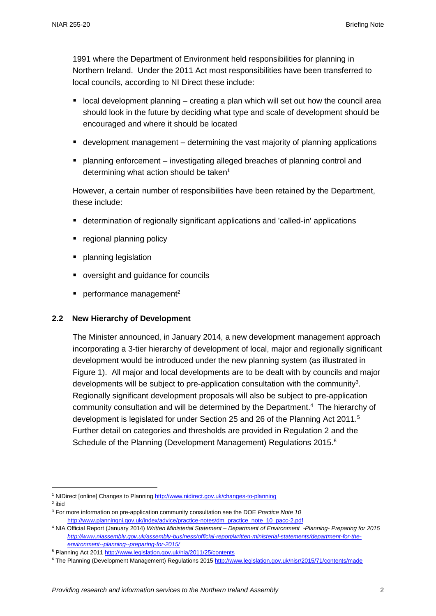1991 where the Department of Environment held responsibilities for planning in Northern Ireland. Under the 2011 Act most responsibilities have been transferred to local councils, according to NI Direct these include:

- $\blacksquare$  local development planning creating a plan which will set out how the council area should look in the future by deciding what type and scale of development should be encouraged and where it should be located
- development management determining the vast majority of planning applications
- planning enforcement investigating alleged breaches of planning control and determining what action should be taken $1$

However, a certain number of responsibilities have been retained by the Department, these include:

- determination of regionally significant applications and 'called-in' applications
- **regional planning policy**
- planning legislation
- oversight and guidance for councils
- performance management<sup>2</sup>

#### **2.2 New Hierarchy of Development**

The Minister announced, in January 2014, a new development management approach incorporating a 3-tier hierarchy of development of local, major and regionally significant development would be introduced under the new planning system (as illustrated in Figure 1). All major and local developments are to be dealt with by councils and major developments will be subject to pre-application consultation with the community<sup>3</sup>. Regionally significant development proposals will also be subject to pre-application community consultation and will be determined by the Department.<sup>4</sup> The hierarchy of development is legislated for under Section 25 and 26 of the Planning Act 2011.<sup>5</sup> Further detail on categories and thresholds are provided in Regulation 2 and the Schedule of the Planning (Development Management) Regulations 2015.<sup>6</sup>

<sup>2</sup> ibid

<sup>1</sup> NIDirect [online] Changes to Plannin[g http://www.nidirect.gov.uk/changes-to-planning](http://www.nidirect.gov.uk/changes-to-planning)

<sup>3</sup> For more information on pre-application community consultation see the DOE *Practice Note 10* [http://www.planningni.gov.uk/index/advice/practice-notes/dm\\_practice\\_note\\_10\\_pacc-2.pdf](http://www.planningni.gov.uk/index/advice/practice-notes/dm_practice_note_10_pacc-2.pdf)

<sup>4</sup> NIA Official Report (January 2014) *Written Ministerial Statement – Department of Environment -Planning- Preparing for 2015 [http://www.niassembly.gov.uk/assembly-business/official-report/written-ministerial-statements/department-for-the](http://www.niassembly.gov.uk/assembly-business/official-report/written-ministerial-statements/department-for-the-environment--planning--preparing-for-2015/)[environment--planning--preparing-for-2015/](http://www.niassembly.gov.uk/assembly-business/official-report/written-ministerial-statements/department-for-the-environment--planning--preparing-for-2015/)*

<sup>5</sup> Planning Act 2011<http://www.legislation.gov.uk/nia/2011/25/contents>

<sup>&</sup>lt;sup>6</sup> The Planning (Development Management) Regulations 201[5 http://www.legislation.gov.uk/nisr/2015/71/contents/made](http://www.legislation.gov.uk/nisr/2015/71/contents/made)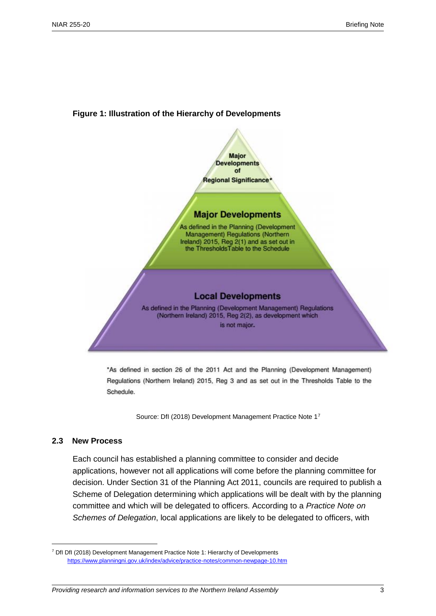

#### **Figure 1: Illustration of the Hierarchy of Developments**

\*As defined in section 26 of the 2011 Act and the Planning (Development Management) Regulations (Northern Ireland) 2015, Reg 3 and as set out in the Thresholds Table to the Schedule.

Source: DfI (2018) Development Management Practice Note 1<sup>7</sup>

#### **2.3 New Process**

 $\overline{a}$ 

Each council has established a planning committee to consider and decide applications, however not all applications will come before the planning committee for decision. Under Section 31 of the Planning Act 2011, councils are required to publish a Scheme of Delegation determining which applications will be dealt with by the planning committee and which will be delegated to officers. According to a *Practice Note on Schemes of Delegation*, local applications are likely to be delegated to officers, with

<sup>7</sup> DfI DfI (2018) Development Management Practice Note 1: Hierarchy of Developments <https://www.planningni.gov.uk/index/advice/practice-notes/common-newpage-10.htm>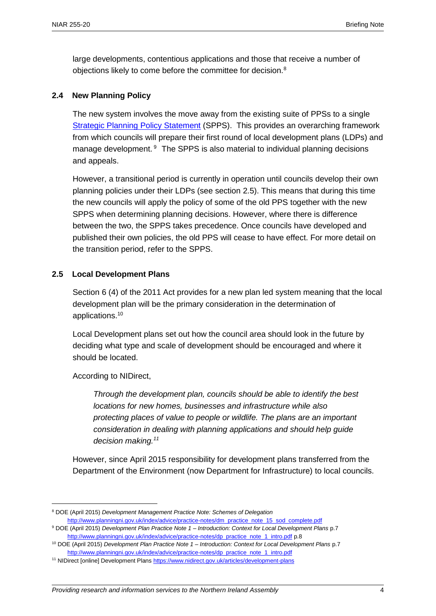large developments, contentious applications and those that receive a number of objections likely to come before the committee for decision.<sup>8</sup>

#### **2.4 New Planning Policy**

The new system involves the move away from the existing suite of PPSs to a single [Strategic Planning Policy Statement](http://www.planningni.gov.uk/index/policy/spps_28_september_2015-3.pdf) (SPPS). This provides an overarching framework from which councils will prepare their first round of local development plans (LDPs) and manage development. <sup>9</sup> The SPPS is also material to individual planning decisions and appeals.

However, a transitional period is currently in operation until councils develop their own planning policies under their LDPs (see section 2.5). This means that during this time the new councils will apply the policy of some of the old PPS together with the new SPPS when determining planning decisions. However, where there is difference between the two, the SPPS takes precedence. Once councils have developed and published their own policies, the old PPS will cease to have effect. For more detail on the transition period, refer to the SPPS.

#### **2.5 Local Development Plans**

Section 6 (4) of the 2011 Act provides for a new plan led system meaning that the local development plan will be the primary consideration in the determination of applications.<sup>10</sup>

Local Development plans set out how the council area should look in the future by deciding what type and scale of development should be encouraged and where it should be located.

According to NIDirect,

 $\overline{a}$ 

*Through the development plan, councils should be able to identify the best locations for new homes, businesses and infrastructure while also protecting places of value to people or wildlife. The plans are an important consideration in dealing with planning applications and should help guide decision making.<sup>11</sup>*

However, since April 2015 responsibility for development plans transferred from the Department of the Environment (now Department for Infrastructure) to local councils.

<sup>8</sup> DOE (April 2015) *Development Management Practice Note: Schemes of Delegation* [http://www.planningni.gov.uk/index/advice/practice-notes/dm\\_practice\\_note\\_15\\_sod\\_complete.pdf](http://www.planningni.gov.uk/index/advice/practice-notes/dm_practice_note_15_sod_complete.pdf)

<sup>9</sup> DOE (April 2015) *Development Plan Practice Note 1 – Introduction: Context for Local Development Plans* p.7 [http://www.planningni.gov.uk/index/advice/practice-notes/dp\\_practice\\_note\\_1\\_intro.pdf](http://www.planningni.gov.uk/index/advice/practice-notes/dp_practice_note_1_intro.pdf) p.8

<sup>10</sup> DOE (April 2015) *Development Plan Practice Note 1 – Introduction: Context for Local Development Plans* p.7 [http://www.planningni.gov.uk/index/advice/practice-notes/dp\\_practice\\_note\\_1\\_intro.pdf](http://www.planningni.gov.uk/index/advice/practice-notes/dp_practice_note_1_intro.pdf)

<sup>&</sup>lt;sup>11</sup> NIDirect [online] Development Plan[s https://www.nidirect.gov.uk/articles/development-plans](https://www.nidirect.gov.uk/articles/development-plans)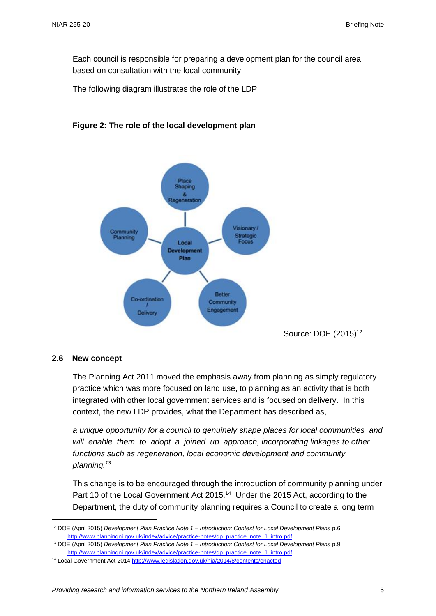Each council is responsible for preparing a development plan for the council area, based on consultation with the local community.

The following diagram illustrates the role of the LDP:





#### **2.6 New concept**

 $\overline{a}$ 

The Planning Act 2011 moved the emphasis away from planning as simply regulatory practice which was more focused on land use, to planning as an activity that is both integrated with other local government services and is focused on delivery. In this context, the new LDP provides, what the Department has described as,

*a unique opportunity for a council to genuinely shape places for local communities and will enable them to adopt a joined up approach, incorporating linkages to other functions such as regeneration, local economic development and community planning.<sup>13</sup>*

This change is to be encouraged through the introduction of community planning under Part 10 of the Local Government Act 2015.<sup>14</sup> Under the 2015 Act, according to the Department, the duty of community planning requires a Council to create a long term

<sup>12</sup> DOE (April 2015) *Development Plan Practice Note 1 – Introduction: Context for Local Development Plans* p.6 [http://www.planningni.gov.uk/index/advice/practice-notes/dp\\_practice\\_note\\_1\\_intro.pdf](http://www.planningni.gov.uk/index/advice/practice-notes/dp_practice_note_1_intro.pdf)

<sup>13</sup> DOE (April 2015) *Development Plan Practice Note 1 – Introduction: Context for Local Development Plans* p.9 [http://www.planningni.gov.uk/index/advice/practice-notes/dp\\_practice\\_note\\_1\\_intro.pdf](http://www.planningni.gov.uk/index/advice/practice-notes/dp_practice_note_1_intro.pdf)

<sup>14</sup> Local Government Act 2014<http://www.legislation.gov.uk/nia/2014/8/contents/enacted>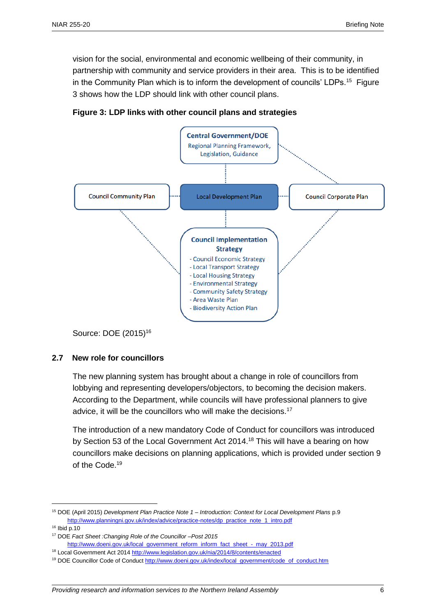vision for the social, environmental and economic wellbeing of their community, in partnership with community and service providers in their area. This is to be identified in the Community Plan which is to inform the development of councils' LDPs.<sup>15</sup> Figure 3 shows how the LDP should link with other council plans.



**Figure 3: LDP links with other council plans and strategies**

Source: DOE (2015)<sup>16</sup>

#### **2.7 New role for councillors**

The new planning system has brought about a change in role of councillors from lobbying and representing developers/objectors, to becoming the decision makers. According to the Department, while councils will have professional planners to give advice, it will be the councillors who will make the decisions.<sup>17</sup>

The introduction of a new mandatory Code of Conduct for councillors was introduced by Section 53 of the Local Government Act 2014.<sup>18</sup> This will have a bearing on how councillors make decisions on planning applications, which is provided under section 9 of the Code.<sup>19</sup>

<sup>15</sup> DOE (April 2015) *Development Plan Practice Note 1 – Introduction: Context for Local Development Plans* p.9 [http://www.planningni.gov.uk/index/advice/practice-notes/dp\\_practice\\_note\\_1\\_intro.pdf](http://www.planningni.gov.uk/index/advice/practice-notes/dp_practice_note_1_intro.pdf)

<sup>16</sup> Ibid p.10

<sup>17</sup> DOE *Fact Sheet :Changing Role of the Councillor –Post 2015* [http://www.doeni.gov.uk/local\\_government\\_reform\\_inform\\_fact\\_sheet\\_-\\_may\\_2013.pdf](http://www.doeni.gov.uk/local_government_reform_inform_fact_sheet_-_may_2013.pdf)

<sup>18</sup> Local Government Act 2014<http://www.legislation.gov.uk/nia/2014/8/contents/enacted>

<sup>&</sup>lt;sup>19</sup> DOE Councillor Code of Conduc[t http://www.doeni.gov.uk/index/local\\_government/code\\_of\\_conduct.htm](http://www.doeni.gov.uk/index/local_government/code_of_conduct.htm)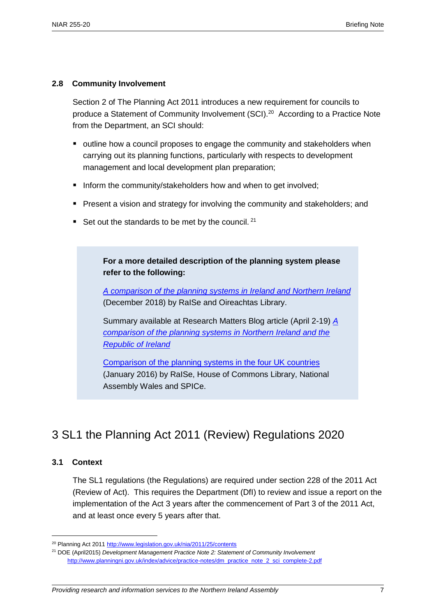#### **2.8 Community Involvement**

Section 2 of The Planning Act 2011 introduces a new requirement for councils to produce a Statement of Community Involvement (SCI).<sup>20</sup> According to a Practice Note from the Department, an SCI should:

- outline how a council proposes to engage the community and stakeholders when carrying out its planning functions, particularly with respects to development management and local development plan preparation;
- **Inform the community/stakeholders how and when to get involved;**
- **Present a vision and strategy for involving the community and stakeholders; and**
- Set out the standards to be met by the council.  $21$

**For a more detailed description of the planning system please refer to the following:**

*[A comparison of the planning systems in Ireland and Northern Ireland](http://www.niassembly.gov.uk/globalassets/documents/raise/publications/2017-2022/2018/joint-papers/0218.pdf)* (December 2018) by RaISe and Oireachtas Library.

Summary available at Research Matters Blog article (April 2-19) *[A](https://www.assemblyresearchmatters.org/2019/04/15/a-comparison-of-the-planning-systems-in-northern-ireland-and-the-republic-of-ireland/)  [comparison of the planning systems in Northern Ireland and the](https://www.assemblyresearchmatters.org/2019/04/15/a-comparison-of-the-planning-systems-in-northern-ireland-and-the-republic-of-ireland/)  [Republic of Ireland](https://www.assemblyresearchmatters.org/2019/04/15/a-comparison-of-the-planning-systems-in-northern-ireland-and-the-republic-of-ireland/)*

Comparison of the planning systems in [the four UK countries](http://www.niassembly.gov.uk/globalassets/documents/raise/publications/2016/environment/1316.pdf) (January 2016) by RaISe, House of Commons Library, National Assembly Wales and SPICe.

## 3 SL1 the Planning Act 2011 (Review) Regulations 2020

#### **3.1 Context**

 $\overline{a}$ 

The SL1 regulations (the Regulations) are required under section 228 of the 2011 Act (Review of Act). This requires the Department (DfI) to review and issue a report on the implementation of the Act 3 years after the commencement of Part 3 of the 2011 Act, and at least once every 5 years after that.

<sup>20</sup> Planning Act 2011<http://www.legislation.gov.uk/nia/2011/25/contents>

<sup>21</sup> DOE (April2015) *Development Management Practice Note 2: Statement of Community Involvement* [http://www.planningni.gov.uk/index/advice/practice-notes/dm\\_practice\\_note\\_2\\_sci\\_complete-2.pdf](http://www.planningni.gov.uk/index/advice/practice-notes/dm_practice_note_2_sci_complete-2.pdf)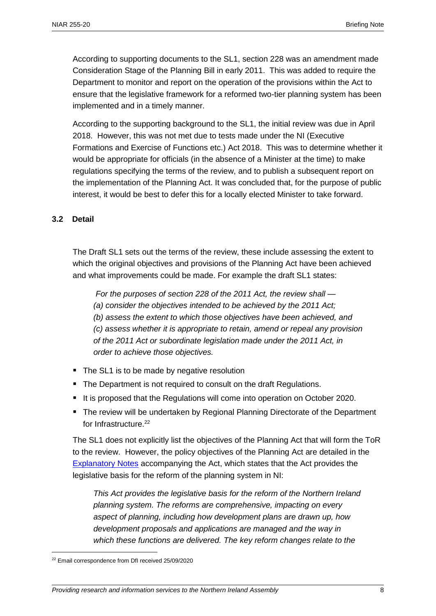According to supporting documents to the SL1, section 228 was an amendment made Consideration Stage of the Planning Bill in early 2011. This was added to require the Department to monitor and report on the operation of the provisions within the Act to ensure that the legislative framework for a reformed two-tier planning system has been implemented and in a timely manner.

According to the supporting background to the SL1, the initial review was due in April 2018. However, this was not met due to tests made under the NI (Executive Formations and Exercise of Functions etc.) Act 2018. This was to determine whether it would be appropriate for officials (in the absence of a Minister at the time) to make regulations specifying the terms of the review, and to publish a subsequent report on the implementation of the Planning Act. It was concluded that, for the purpose of public interest, it would be best to defer this for a locally elected Minister to take forward.

#### **3.2 Detail**

The Draft SL1 sets out the terms of the review, these include assessing the extent to which the original objectives and provisions of the Planning Act have been achieved and what improvements could be made. For example the draft SL1 states:

*For the purposes of section 228 of the 2011 Act, the review shall — (a) consider the objectives intended to be achieved by the 2011 Act; (b) assess the extent to which those objectives have been achieved, and (c) assess whether it is appropriate to retain, amend or repeal any provision of the 2011 Act or subordinate legislation made under the 2011 Act, in order to achieve those objectives.*

- The SL1 is to be made by negative resolution
- The Department is not required to consult on the draft Regulations.
- It is proposed that the Regulations will come into operation on October 2020.
- The review will be undertaken by Regional Planning Directorate of the Department for Infrastructure.<sup>22</sup>

The SL1 does not explicitly list the objectives of the Planning Act that will form the ToR to the review. However, the policy objectives of the Planning Act are detailed in the [Explanatory Notes](https://www.legislation.gov.uk/nia/2011/25/notes/division/2) accompanying the Act, which states that the Act provides the legislative basis for the reform of the planning system in NI:

*This Act provides the legislative basis for the reform of the Northern Ireland planning system. The reforms are comprehensive, impacting on every aspect of planning, including how development plans are drawn up, how development proposals and applications are managed and the way in which these functions are delivered. The key reform changes relate to the* 

<sup>22</sup> Email correspondence from DfI received 25/09/2020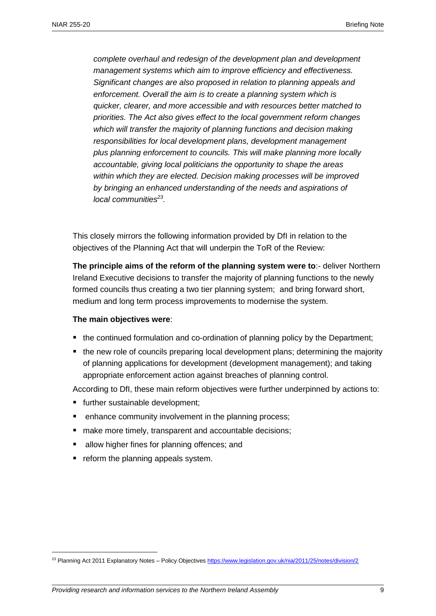*complete overhaul and redesign of the development plan and development management systems which aim to improve efficiency and effectiveness. Significant changes are also proposed in relation to planning appeals and enforcement. Overall the aim is to create a planning system which is quicker, clearer, and more accessible and with resources better matched to priorities. The Act also gives effect to the local government reform changes which will transfer the majority of planning functions and decision making responsibilities for local development plans, development management plus planning enforcement to councils. This will make planning more locally accountable, giving local politicians the opportunity to shape the areas within which they are elected. Decision making processes will be improved by bringing an enhanced understanding of the needs and aspirations of local communities<sup>23</sup> .*

This closely mirrors the following information provided by DfI in relation to the objectives of the Planning Act that will underpin the ToR of the Review:

**The principle aims of the reform of the planning system were to**:- deliver Northern Ireland Executive decisions to transfer the majority of planning functions to the newly formed councils thus creating a two tier planning system; and bring forward short, medium and long term process improvements to modernise the system.

#### **The main objectives were**:

- the continued formulation and co-ordination of planning policy by the Department;
- the new role of councils preparing local development plans; determining the majority of planning applications for development (development management); and taking appropriate enforcement action against breaches of planning control.

According to DfI, these main reform objectives were further underpinned by actions to:

- **further sustainable development;**
- enhance community involvement in the planning process;
- make more timely, transparent and accountable decisions;
- allow higher fines for planning offences; and
- $\blacksquare$  reform the planning appeals system.

<sup>&</sup>lt;sup>23</sup> Planning Act 2011 Explanatory Notes – Policy Objective[s https://www.legislation.gov.uk/nia/2011/25/notes/division/2](https://www.legislation.gov.uk/nia/2011/25/notes/division/2)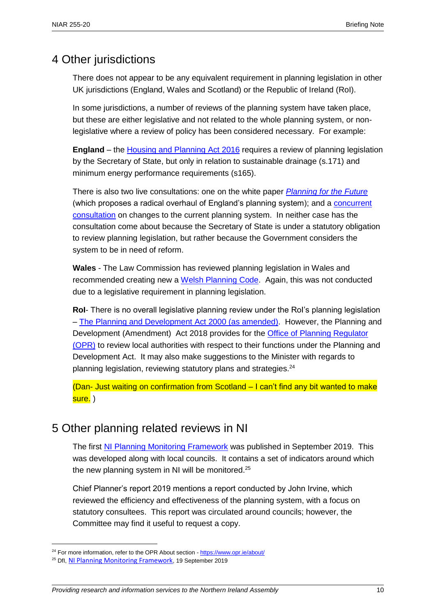## 4 Other jurisdictions

There does not appear to be any equivalent requirement in planning legislation in other UK jurisdictions (England, Wales and Scotland) or the Republic of Ireland (RoI).

In some jurisdictions, a number of reviews of the planning system have taken place, but these are either legislative and not related to the whole planning system, or nonlegislative where a review of policy has been considered necessary. For example:

**England** – the [Housing and Planning Act 2016](https://www.legislation.gov.uk/ukpga/2016/22/part/6/crossheading/sustainable-drainage/enacted) requires a review of planning legislation by the Secretary of State, but only in relation to sustainable drainage (s.171) and minimum energy performance requirements (s165).

There is also two live consultations: one on the white paper *[Planning for the Future](https://www.gov.uk/government/consultations/planning-for-the-future)* (which proposes a radical overhaul of England's planning system); and a [concurrent](https://assets.publishing.service.gov.uk/government/uploads/system/uploads/attachment_data/file/907215/200805_Changes_to_the_current_planning_system_FINAL_version.pdf)  [consultation](https://assets.publishing.service.gov.uk/government/uploads/system/uploads/attachment_data/file/907215/200805_Changes_to_the_current_planning_system_FINAL_version.pdf) on changes to the current planning system. In neither case has the consultation come about because the Secretary of State is under a statutory obligation to review planning legislation, but rather because the Government considers the system to be in need of reform.

**Wales** - The Law Commission has reviewed planning legislation in Wales and recommended creating new a [Welsh Planning Code.](https://www.lawcom.gov.uk/project/planning-law-in-wales/) Again, this was not conducted due to a legislative requirement in planning legislation.

**RoI**- There is no overall legislative planning review under the RoI's planning legislation – [The Planning and Development Act 2000 \(as amended\).](http://revisedacts.lawreform.ie/eli/2000/act/30/revised/en/pdf) However, the Planning and Development (Amendment) Act 2018 provides for the [Office of Planning Regulator](https://www.opr.ie/about/)  [\(OPR\)](https://www.opr.ie/about/) to review local authorities with respect to their functions under the Planning and Development Act. It may also make suggestions to the Minister with regards to planning legislation, reviewing statutory plans and strategies.<sup>24</sup>

(Dan- Just waiting on confirmation from Scotland – I can't find any bit wanted to make sure.)

## 5 Other planning related reviews in NI

The first [NI Planning Monitoring Framework](https://www.infrastructure-ni.gov.uk/publications/northern-ireland-planning-monitoring-framework-201819) was published in September 2019. This was developed along with local councils. It contains a set of indicators around which the new planning system in NI will be monitored.<sup>25</sup>

Chief Planner's report 2019 mentions a report conducted by John Irvine, which reviewed the efficiency and effectiveness of the planning system, with a focus on statutory consultees. This report was circulated around councils; however, the Committee may find it useful to request a copy.

<sup>&</sup>lt;sup>24</sup> For more information, refer to the OPR About section - <https://www.opr.ie/about/>

<sup>25</sup> DfI, [NI Planning Monitoring Framework](https://www.infrastructure-ni.gov.uk/publications/northern-ireland-planning-monitoring-framework-201819), 19 September 2019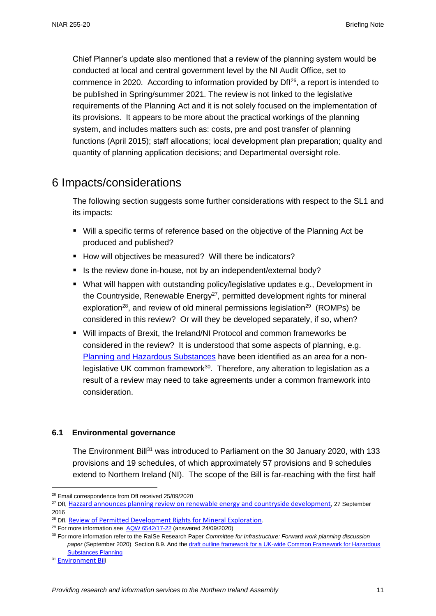Chief Planner's update also mentioned that a review of the planning system would be conducted at local and central government level by the NI Audit Office, set to commence in 2020. According to information provided by DfI<sup>26</sup>, a report is intended to be published in Spring/summer 2021. The review is not linked to the legislative requirements of the Planning Act and it is not solely focused on the implementation of its provisions. It appears to be more about the practical workings of the planning system, and includes matters such as: costs, pre and post transfer of planning functions (April 2015); staff allocations; local development plan preparation; quality and quantity of planning application decisions; and Departmental oversight role.

### 6 Impacts/considerations

The following section suggests some further considerations with respect to the SL1 and its impacts:

- Will a specific terms of reference based on the objective of the Planning Act be produced and published?
- How will objectives be measured? Will there be indicators?
- Is the review done in-house, not by an independent/external body?
- What will happen with outstanding policy/legislative updates e.g., Development in the Countryside, Renewable Energy<sup>27</sup>, permitted development rights for mineral exploration<sup>28</sup>, and review of old mineral permissions legislation<sup>29</sup> (ROMPs) be considered in this review? Or will they be developed separately, if so, when?
- Will impacts of Brexit, the Ireland/NI Protocol and common frameworks be considered in the review? It is understood that some aspects of planning, e.g. [Planning and Hazardous Substances](https://www.gov.scot/publications/common-frameworks-outline-framework-hazardous-substances-planning/pages/4/) have been identified as an area for a nonlegislative UK common framework $30$ . Therefore, any alteration to legislation as a result of a review may need to take agreements under a common framework into consideration.

#### **6.1 Environmental governance**

The Environment Bill<sup>31</sup> was introduced to Parliament on the 30 January 2020, with 133 provisions and 19 schedules, of which approximately 57 provisions and 9 schedules extend to Northern Ireland (NI). The scope of the Bill is far-reaching with the first half

<sup>26</sup> Email correspondence from DfI received 25/09/2020

<sup>&</sup>lt;sup>27</sup> Dfl, [Hazzard announces planning review on renewable energy and countryside development](https://www.infrastructure-ni.gov.uk/news/hazzard-announces-planning-review-renewable-energy-and-countryside-development), 27 September 2016

<sup>&</sup>lt;sup>28</sup> Dfl. [Review of Permitted Development Rights for Mineral Exploration](https://www.infrastructure-ni.gov.uk/consultations/review-permitted-development-rights-mineral-exploration).

 $29$  For more information see [AQW 6542/17-22](javascript:__doPostBack() (answered 24/09/2020)

<sup>30</sup> For more information refer to the RaISe Research Paper *Committee for Infrastructure: Forward work planning discussion paper* (September 2020) Section 8.9. And the [draft outline framework for a UK-wide Common Framework for Hazardous](https://www.gov.scot/publications/common-frameworks-outline-framework-hazardous-substances-planning/pages/4/) [Substances Planning](https://www.gov.scot/publications/common-frameworks-outline-framework-hazardous-substances-planning/pages/4/)

<sup>&</sup>lt;sup>31</sup> [Environment Bil](https://services.parliament.uk/Bills/2019-21/environment/documents.html)l